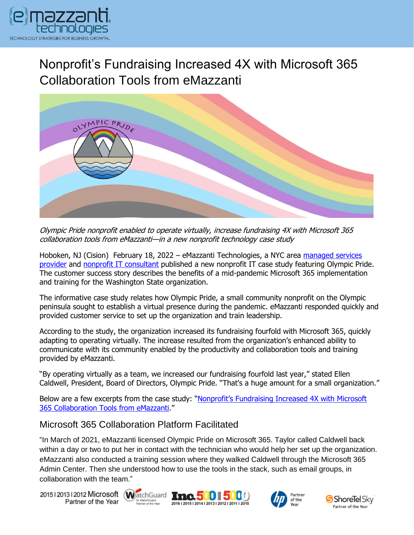

Nonprofit's Fundraising Increased 4X with Microsoft 365 Collaboration Tools from eMazzanti



Olympic Pride nonprofit enabled to operate virtually, increase fundraising 4X with Microsoft 365 collaboration tools from eMazzanti—in a new nonprofit technology case study

Hoboken, NJ (Cision) February 18, 2022 – eMazzanti Technologies, a NYC area [managed services](https://www.emazzanti.net/)  [provider](https://www.emazzanti.net/) and nonprofit [IT consultant](https://www.emazzanti.net/services/nonprofit/) published a new nonprofit IT case study featuring Olympic Pride. The customer success story describes the benefits of a mid-pandemic Microsoft 365 implementation and training for the Washington State organization.

The informative case study relates how Olympic Pride, a small community nonprofit on the Olympic peninsula sought to establish a virtual presence during the pandemic. eMazzanti responded quickly and provided customer service to set up the organization and train leadership.

According to the study, the organization increased its fundraising fourfold with Microsoft 365, quickly adapting to operating virtually. The increase resulted from the organization's enhanced ability to communicate with its community enabled by the productivity and collaboration tools and training provided by eMazzanti.

"By operating virtually as a team, we increased our fundraising fourfold last year," stated Ellen Caldwell, President, Board of Directors, Olympic Pride. "That's a huge amount for a small organization."

Below are a few excerpts from the case study: "Nonprofit's Fundraising Increased 4X with Microsoft [365 Collaboration Tools from eMazzanti](https://www.emazzanti.net/nonprofit-fundraising-increased-4x/)."

## Microsoft 365 Collaboration Platform Facilitated

"In March of 2021, eMazzanti licensed Olympic Pride on Microsoft 365. Taylor called Caldwell back within a day or two to put her in contact with the technician who would help her set up the organization. eMazzanti also conducted a training session where they walked Caldwell through the Microsoft 365 Admin Center. Then she understood how to use the tools in the stack, such as email groups, in collaboration with the team."

20151201312012 Microsoft WatchGuard Tnc. 500 500 Partner of the Year







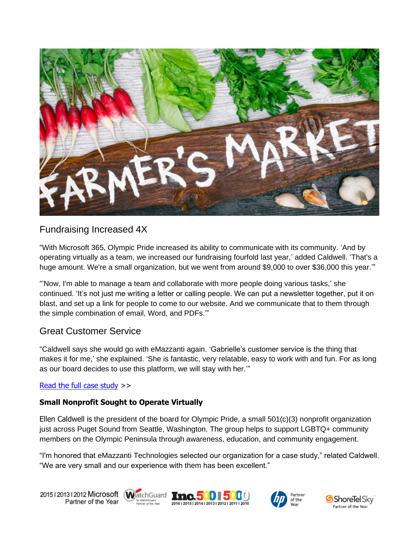

# Fundraising Increased 4X

"With Microsoft 365, Olympic Pride increased its ability to communicate with its community. 'And by operating virtually as a team, we increased our fundraising fourfold last year,' added Caldwell. 'That's a huge amount. We're a small organization, but we went from around \$9,000 to over \$36,000 this year.""

"'Now, I'm able to manage a team and collaborate with more people doing various tasks,' she continued. 'It's not just me writing a letter or calling people. We can put a newsletter together, put it on blast, and set up a link for people to come to our website. And we communicate that to them through the simple combination of email, Word, and PDFs.'"

## Great Customer Service

"Caldwell says she would go with eMazzanti again. 'Gabrielle's customer service is the thing that makes it for me,' she explained. 'She is fantastic, very relatable, easy to work with and fun. For as long as our board decides to use this platform, we will stay with her.'"

## [Read the full case study](https://www.emazzanti.net/nonprofit-fundraising-increased-4x/) >>

#### **Small Nonprofit Sought to Operate Virtually**

Ellen Caldwell is the president of the board for Olympic Pride, a small 501(c)(3) nonprofit organization just across Puget Sound from Seattle, Washington. The group helps to support LGBTQ+ community members on the Olympic Peninsula through awareness, education, and community engagement.

"I'm honored that eMazzanti Technologies selected our organization for a case study," related Caldwell. "We are very small and our experience with them has been excellent."